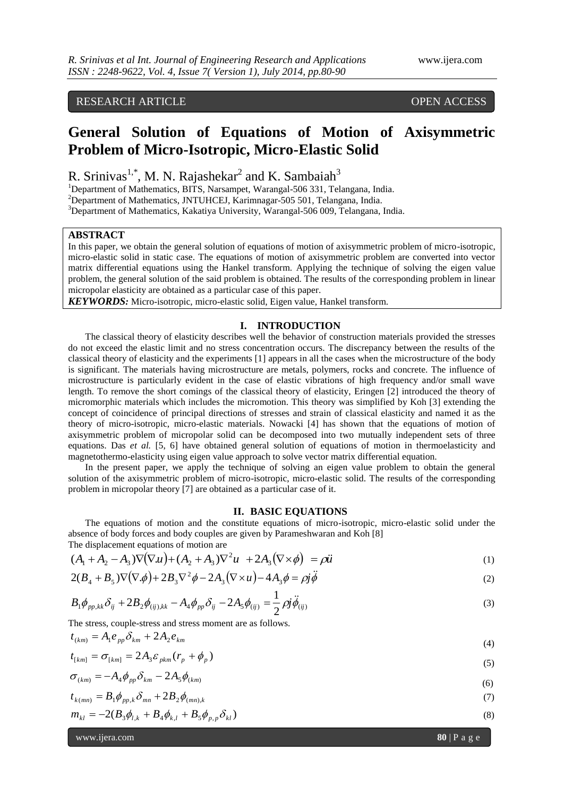# RESEARCH ARTICLE OPEN ACCESS

# **General Solution of Equations of Motion of Axisymmetric Problem of Micro-Isotropic, Micro-Elastic Solid**

R. Srinivas<sup>1,\*</sup>, M. N. Rajashekar<sup>2</sup> and K. Sambaiah<sup>3</sup>

<sup>1</sup>Department of Mathematics, BITS, Narsampet, Warangal-506 331, Telangana, India.

<sup>2</sup>Department of Mathematics, JNTUHCEJ, Karimnagar-505 501, Telangana, India.

<sup>3</sup>Department of Mathematics, Kakatiya University, Warangal-506 009, Telangana, India.

## **ABSTRACT**

In this paper, we obtain the general solution of equations of motion of axisymmetric problem of micro-isotropic, micro-elastic solid in static case. The equations of motion of axisymmetric problem are converted into vector matrix differential equations using the Hankel transform. Applying the technique of solving the eigen value problem, the general solution of the said problem is obtained. The results of the corresponding problem in linear micropolar elasticity are obtained as a particular case of this paper.

*KEYWORDS:* Micro-isotropic, micro-elastic solid, Eigen value, Hankel transform.

## **I. INTRODUCTION**

The classical theory of elasticity describes well the behavior of construction materials provided the stresses do not exceed the elastic limit and no stress concentration occurs. The discrepancy between the results of the classical theory of elasticity and the experiments [1] appears in all the cases when the microstructure of the body is significant. The materials having microstructure are metals, polymers, rocks and concrete. The influence of microstructure is particularly evident in the case of elastic vibrations of high frequency and/or small wave length. To remove the short comings of the classical theory of elasticity, Eringen [2] introduced the theory of micromorphic materials which includes the micromotion. This theory was simplified by Koh [3] extending the concept of coincidence of principal directions of stresses and strain of classical elasticity and named it as the theory of micro-isotropic, micro-elastic materials. Nowacki [4] has shown that the equations of motion of axisymmetric problem of micropolar solid can be decomposed into two mutually independent sets of three equations. Das *et al.* [5, 6] have obtained general solution of equations of motion in thermoelasticity and magnetothermo-elasticity using eigen value approach to solve vector matrix differential equation.

In the present paper, we apply the technique of solving an eigen value problem to obtain the general solution of the axisymmetric problem of micro-isotropic, micro-elastic solid. The results of the corresponding problem in micropolar theory [7] are obtained as a particular case of it.

#### **II. BASIC EQUATIONS**

The equations of motion and the constitute equations of micro-isotropic, micro-elastic solid under the absence of body forces and body couples are given by Parameshwaran and Koh [8] The displacement equations of motion are

$$
(A_1 + A_2 - A_3)\nabla(\nabla u) + (A_2 + A_3)\nabla^2 u + 2A_3(\nabla \times \phi) = \rho \ddot{u}
$$
 (1)

$$
2(B_4 + B_5)\nabla(\nabla \cdot \phi) + 2B_3 \nabla^2 \phi - 2A_3 (\nabla \times u) - 4A_3 \phi = \rho j \ddot{\phi}
$$
\n(2)

$$
B_1 \phi_{pp,kk} \delta_{ij} + 2B_2 \phi_{(ij),kk} - A_4 \phi_{pp} \delta_{ij} - 2A_5 \phi_{(ij)} = \frac{1}{2} \rho j \ddot{\phi}_{(ij)}
$$
(3)

The stress, couple-stress and stress moment are as follows.

$$
t_{(km)} = A_1 e_{pp} \delta_{km} + 2A_2 e_{km} \tag{4}
$$

$$
t_{[km]} = \sigma_{[km]} = 2A_3 \varepsilon_{pkm} (r_p + \phi_p)
$$
\n
$$
\tag{5}
$$

$$
\sigma_{(km)} = -A_4 \phi_{pp} \delta_{km} - 2A_5 \phi_{(km)} \tag{6}
$$

$$
t_{k(mn)} = B_1 \phi_{pp,k} \delta_{mn} + 2B_2 \phi_{(mn),k}
$$
 (7)

$$
m_{kl} = -2(B_3 \phi_{l,k} + B_4 \phi_{k,l} + B_5 \phi_{p,p} \delta_{kl})
$$
\n(8)

www.ijera.com **80** | P a g e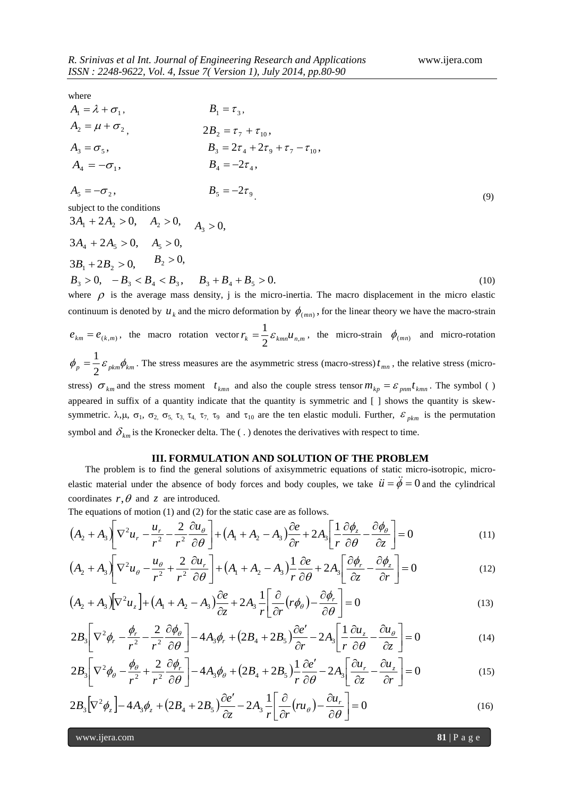where

| $A_1 = \lambda + \sigma_1$ ,                             | $B_1 = \tau_3$ ,                                                                                                          |  |
|----------------------------------------------------------|---------------------------------------------------------------------------------------------------------------------------|--|
| $A_2 = \mu + \sigma_2$                                   | $2B_2 = \tau_7 + \tau_{10}$                                                                                               |  |
| $A_3 = \sigma_5$                                         | $B_3 = 2\tau_4 + 2\tau_9 + \tau_7 - \tau_{10}$                                                                            |  |
| $A_4 = -\sigma_1$ ,                                      | $B_{4} = -2\tau_{4}$ ,                                                                                                    |  |
| $A_5 = -\sigma_2$ ,                                      | $B_5 = -2\tau_9$<br>(9)                                                                                                   |  |
| subject to the conditions                                |                                                                                                                           |  |
| $3A_1 + 2A_2 > 0$ , $A_2 > 0$ , $A_3 > 0$ ,              |                                                                                                                           |  |
| $3A_4 + 2A_5 > 0$ , $A_5 > 0$ ,                          |                                                                                                                           |  |
| $3B_1 + 2B_2 > 0$ , $B_2 > 0$ ,                          |                                                                                                                           |  |
| $B_3 > 0$ , $-B_3 < B_4 < B_3$ , $B_3 + B_4 + B_5 > 0$ . | (10)                                                                                                                      |  |
|                                                          | where $\rho$ is the average mass density, j is the micro-inertia. The macro displacement in the micro elastic             |  |
|                                                          | continuum is denoted by $u_k$ and the micro deformation by $\phi_{(mn)}$ , for the linear theory we have the macro-strain |  |

 $e_{km} = e_{(k,m)}$ , the macro rotation vector  $r_k = \frac{1}{2} \varepsilon_{kmn} u_{n,m}$  $=\frac{1}{2}\varepsilon_{kmn}u_{n,m}$ , the micro-strain  $\phi_{(mn)}$  and micro-rotation  $=\frac{1}{2}\varepsilon_{\rho km}\phi_{km}$ . The stress measures are the asymmetric stress (macro-stress)  $t_{mn}$ , the relative stress (micro-

 $\phi_p = \frac{1}{2} \varepsilon_{pkm} \phi_{km}$ stress)  $\sigma_{km}$  and the stress moment  $t_{kmn}$  and also the couple stress tensor  $m_{kp} = \varepsilon_{pmn} t_{kmn}$ . The symbol ( ) appeared in suffix of a quantity indicate that the quantity is symmetric and [ ] shows the quantity is skewsymmetric.  $\lambda, \mu, \sigma_1, \sigma_2, \sigma_5, \tau_3, \tau_4, \tau_7, \tau_9$  and  $\tau_{10}$  are the ten elastic moduli. Further,  $\varepsilon_{pkm}$  is the permutation symbol and  $\delta_{km}$  is the Kronecker delta. The ( $\ldots$ ) denotes the derivatives with respect to time.

## **III. FORMULATION AND SOLUTION OF THE PROBLEM**

The problem is to find the general solutions of axisymmetric equations of static micro-isotropic, microelastic material under the absence of body forces and body couples, we take  $\ddot{u} = \ddot{\phi} = 0$  and the cylindrical coordinates  $r, \theta$  and  $z$  are introduced.

The equations of motion (1) and (2) for the static case are as follows.

$$
(A_2 + A_3) \left[ \nabla^2 u_r - \frac{u_r}{r^2} - \frac{2}{r^2} \frac{\partial u_\theta}{\partial \theta} \right] + (A_1 + A_2 - A_3) \frac{\partial e}{\partial r} + 2A_3 \left[ \frac{1}{r} \frac{\partial \phi_z}{\partial \theta} - \frac{\partial \phi_\theta}{\partial z} \right] = 0 \tag{11}
$$

$$
(A_2 + A_3) \left[ \nabla^2 u_\theta - \frac{u_\theta}{r^2} + \frac{2}{r^2} \frac{\partial u_r}{\partial \theta} \right] + (A_1 + A_2 - A_3) \frac{1}{r} \frac{\partial e}{\partial \theta} + 2A_3 \left[ \frac{\partial \phi_r}{\partial z} - \frac{\partial \phi_z}{\partial r} \right] = 0 \tag{12}
$$

$$
(A_2 + A_3)[\nabla^2 u_z] + (A_1 + A_2 - A_3)\frac{\partial e}{\partial z} + 2A_3 \frac{1}{r} \left[ \frac{\partial}{\partial r} (r\phi_\theta) - \frac{\partial \phi_r}{\partial \theta} \right] = 0
$$
\n(13)

$$
2B_3 \left[ \nabla^2 \phi_r - \frac{\phi_r}{r^2} - \frac{2}{r^2} \frac{\partial \phi_\theta}{\partial \theta} \right] - 4A_3 \phi_r + (2B_4 + 2B_5) \frac{\partial e'}{\partial r} - 2A_3 \left[ \frac{1}{r} \frac{\partial u_z}{\partial \theta} - \frac{\partial u_\theta}{\partial z} \right] = 0 \tag{14}
$$

$$
2B_3 \left[ \nabla^2 \phi_\theta - \frac{\phi_\theta}{r^2} + \frac{2}{r^2} \frac{\partial \phi_r}{\partial \theta} \right] - 4A_3 \phi_\theta + (2B_4 + 2B_5) \frac{1}{r} \frac{\partial e'}{\partial \theta} - 2A_3 \left[ \frac{\partial u_r}{\partial z} - \frac{\partial u_z}{\partial r} \right] = 0 \tag{15}
$$

$$
2B_3[\nabla^2 \phi_z] - 4A_3\phi_z + (2B_4 + 2B_5)\frac{\partial e'}{\partial z} - 2A_3\frac{1}{r} \left[\frac{\partial}{\partial r}(ru_\theta) - \frac{\partial u_r}{\partial \theta}\right] = 0
$$
\n(16)

www.ijera.com **81** | P a g e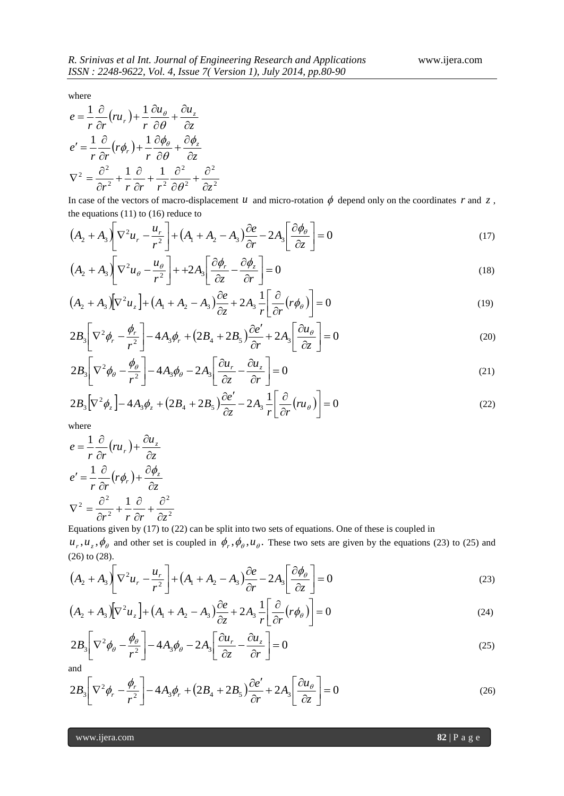where

$$
e = \frac{1}{r} \frac{\partial}{\partial r} (r u_r) + \frac{1}{r} \frac{\partial u_\theta}{\partial \theta} + \frac{\partial u_z}{\partial z}
$$
  
\n
$$
e' = \frac{1}{r} \frac{\partial}{\partial r} (r \phi_r) + \frac{1}{r} \frac{\partial \phi_\theta}{\partial \theta} + \frac{\partial \phi_z}{\partial z}
$$
  
\n
$$
\nabla^2 = \frac{\partial^2}{\partial r^2} + \frac{1}{r} \frac{\partial}{\partial r} + \frac{1}{r^2} \frac{\partial^2}{\partial \theta^2} + \frac{\partial^2}{\partial z^2}
$$

In case of the vectors of macro-displacement  $u$  and micro-rotation  $\phi$  depend only on the coordinates  $r$  and  $z$ , the equations  $(11)$  to  $(16)$  reduce to

$$
\left(A_2 + A_3\right)\left[\nabla^2 u_r - \frac{u_r}{r^2}\right] + \left(A_1 + A_2 - A_3\right)\frac{\partial e}{\partial r} - 2A_3\left[\frac{\partial \phi_\theta}{\partial z}\right] = 0\tag{17}
$$

$$
\left(A_2 + A_3\right)\left[\nabla^2 u_\theta - \frac{u_\theta}{r^2}\right] + 2A_3\left[\frac{\partial \phi_r}{\partial z} - \frac{\partial \phi_z}{\partial r}\right] = 0\tag{18}
$$

$$
(A_2 + A_3)[\nabla^2 u_z] + (A_1 + A_2 - A_3)\frac{\partial e}{\partial z} + 2A_3 \frac{1}{r} \left[\frac{\partial}{\partial r}(r\phi_\theta)\right] = 0
$$
\n(19)

$$
2B_3 \left[ \nabla^2 \phi_r - \frac{\phi_r}{r^2} \right] - 4A_3 \phi_r + (2B_4 + 2B_5) \frac{\partial e'}{\partial r} + 2A_3 \left[ \frac{\partial u_\theta}{\partial z} \right] = 0 \tag{20}
$$

$$
2B_3 \left[ \nabla^2 \phi_\theta - \frac{\phi_\theta}{r^2} \right] - 4A_3 \phi_\theta - 2A_3 \left[ \frac{\partial u_r}{\partial z} - \frac{\partial u_z}{\partial r} \right] = 0 \tag{21}
$$

$$
2B_3\left[\nabla^2\phi_z\right] - 4A_3\phi_z + \left(2B_4 + 2B_5\right)\frac{\partial e'}{\partial z} - 2A_3\frac{1}{r}\left[\frac{\partial}{\partial r}\left(nu_\theta\right)\right] = 0\tag{22}
$$

where

$$
e = \frac{1}{r} \frac{\partial}{\partial r} (r u_r) + \frac{\partial u_z}{\partial z}
$$
  
\n
$$
e' = \frac{1}{r} \frac{\partial}{\partial r} (r \phi_r) + \frac{\partial \phi_z}{\partial z}
$$
  
\n
$$
\nabla^2 = \frac{\partial^2}{\partial r^2} + \frac{1}{r} \frac{\partial}{\partial r} + \frac{\partial^2}{\partial z^2}
$$

Equations given by (17) to (22) can be split into two sets of equations. One of these is coupled in  $u_r$ ,  $u_z$ ,  $\phi_\theta$  and other set is coupled in  $\phi_r$ ,  $\phi_\theta$ ,  $u_\theta$ . These two sets are given by the equations (23) to (25) and (26) to (28).

$$
(A_2 + A_3) \left[ \nabla^2 u_r - \frac{u_r}{r^2} \right] + (A_1 + A_2 - A_3) \frac{\partial e}{\partial r} - 2A_3 \left[ \frac{\partial \phi_\theta}{\partial z} \right] = 0 \tag{23}
$$

$$
(A_2 + A_3)[\nabla^2 u_z] + (A_1 + A_2 - A_3)\frac{\partial e}{\partial z} + 2A_3 \frac{1}{r} \left[\frac{\partial}{\partial r}(r\phi_\theta)\right] = 0
$$
\n(24)

$$
2B_3 \left[ \nabla^2 \phi_\theta - \frac{\phi_\theta}{r^2} \right] - 4A_3 \phi_\theta - 2A_3 \left[ \frac{\partial u_r}{\partial z} - \frac{\partial u_z}{\partial r} \right] = 0 \tag{25}
$$

and

$$
2B_3 \left[ \nabla^2 \phi_r - \frac{\phi_r}{r^2} \right] - 4A_3 \phi_r + (2B_4 + 2B_5) \frac{\partial e'}{\partial r} + 2A_3 \left[ \frac{\partial u_\theta}{\partial z} \right] = 0 \tag{26}
$$

www.ijera.com **82** | P a g e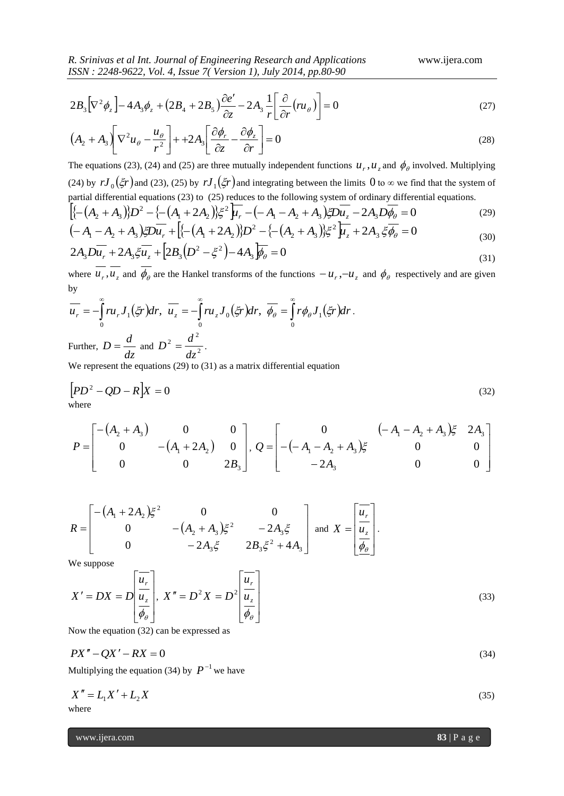*R. Srinivas et al Int. Journal of Engineering Research and Applications* www.ijera.com *ISSN : 2248-9622, Vol. 4, Issue 7( Version 1), July 2014, pp.80-90*

$$
2B_3\left[\nabla^2\phi_z\right] - 4A_3\phi_z + \left(2B_4 + 2B_5\right)\frac{\partial e'}{\partial z} - 2A_3\frac{1}{r}\left[\frac{\partial}{\partial r}\left(r\right)\right] = 0\tag{27}
$$

$$
\left(A_2 + A_3\right)\left[\nabla^2 u_\theta - \frac{u_\theta}{r^2}\right] + 2A_3\left[\frac{\partial \phi_r}{\partial z} - \frac{\partial \phi_z}{\partial r}\right] = 0\tag{28}
$$

The equations (23), (24) and (25) are three mutually independent functions  $u_r$ ,  $u_z$  and  $\phi_\theta$  involved. Multiplying (24) by  $rJ_0(\xi r)$  and (23), (25) by  $rJ_1(\xi r)$  and integrating between the limits 0 to  $\infty$  we find that the system of partial differential equations (23) to (25) reduces to the following system of ordinary differential equations.

$$
\left[ \left\{ -(A_2 + A_3)/2 - \left\{ -(A_1 + 2A_2)/2 \right\} \right\} \right] \left\{ - (A_1 - A_2 + A_3)/2 D u_z - 2A_3 D \overline{\phi}_0 \right\} = 0 \tag{29}
$$

$$
\left(-A_1 - A_2 + A_3\right) \xi Du_r + \left[\left\{-\left(A_1 + 2A_2\right)\right\}D^2 - \left\{-\left(A_2 + A_3\right)\right\}\xi^2\right] \mu_z + 2A_3 \xi \phi_\theta = 0
$$
\n
$$
2A D_{\mu\nu} + 2A \xi \overline{\psi} + \left[2B\left(D^2 - \xi^2\right) - 4A \overline{\psi} = 0\right] \tag{30}
$$

$$
2A_3D\overline{u_r} + 2A_3\xi\overline{u_z} + 2B_3(D^2 - \xi^2) - 4A_3\overline{\phi_\theta} = 0
$$
\n(31)

where  $u_r$ ,  $u_z$  and  $\phi_\theta$  are the Hankel transforms of the functions  $-u_r$ ,  $-u_z$  and  $\phi_\theta$  respectively and are given by

$$
\overline{u_r} = -\int_0^\infty r u_r J_1(\xi r) dr, \quad \overline{u_z} = -\int_0^\infty r u_z J_0(\xi r) dr, \quad \overline{\phi_\theta} = \int_0^\infty r \phi_\theta J_1(\xi r) dr.
$$
\nFurther, 
$$
D = \frac{d}{dr} \text{ and } D^2 = \frac{d^2}{dr^2}.
$$

*dz* and  $D^2 = \frac{d^2}{dz^2}$ 

We represent the equations (29) to (31) as a matrix differential equation

$$
[PD^2 - QD - R]X = 0
$$
\nwhere

\n
$$
[PD^2 - QD - R]X = 0
$$
\n(32)

$$
P = \begin{bmatrix} -(A_2 + A_3) & 0 & 0 \ 0 & -(A_1 + 2A_2) & 0 \ 0 & 0 & 2B_3 \end{bmatrix}, Q = \begin{bmatrix} 0 & (-A_1 - A_2 + A_3)\xi & 2A_3 \ -(A_1 - A_2 + A_3)\xi & 0 & 0 \ -2A_3 & 0 & 0 \end{bmatrix}
$$

$$
R = \begin{bmatrix} -(A_1 + 2A_2)\xi^2 & 0 & 0 \\ 0 & -(A_2 + A_3)\xi^2 & -2A_3\xi \\ 0 & -2A_3\xi & 2B_3\xi^2 + 4A_3 \end{bmatrix} \text{ and } X = \begin{bmatrix} \overline{u_r} \\ \overline{u_z} \\ \overline{\phi_\theta} \end{bmatrix}.
$$

We suppose

2*B<sub>3</sub>*[
$$
\nabla^2 \phi_z
$$
] - 4*A<sub>3</sub>φ<sub>z</sub>* + (2*B<sub>4</sub>* + 2*B<sub>5</sub>*) $\frac{1}{c_2} = 2A_3 \frac{1}{r} \left[ \frac{\partial}{\partial r} (H\phi) \right] = 0$  (27)  
\n(*A*<sub>2</sub> + *A<sub>3</sub>*  $\nabla^2 u_{\phi} - \frac{u_{\phi}}{r^2}$ ] + +2*A<sub>3</sub>*  $\left[ \frac{\partial \phi_r}{\partial z} - \frac{\partial \phi_z}{\partial r} \right]$  = 0 (28)  
\nThe equations (23), (24) and (25) are three mutually independent functions *u<sub>r</sub>*, *u<sub>s</sub>* and  $\phi_{\phi}$  involved. Multiplying  
\npartial differential equations (23) to (25) by *J<sub>1</sub>*(*ξ'*) and integrating between of ordinary differential equations.  
\n[*z*– (*A*<sub>3</sub> + *A*<sub>3</sub>)*jD*<sup>2</sup> -*z*– (*A*<sub>1</sub> + 2*A*<sub>3</sub>)*jD*<sup>2</sup>  $\frac{1}{l}$  – (*A* – *A*<sub>2</sub> + *A*)<sub>3</sub>*jDu<sub>z</sub>* – 2*A*<sub>3</sub>*Dh*<sub>θ</sub> = 0 (29)  
\n2*A<sub>3</sub>Di<sub>r</sub>* + 2*A<sub>3</sub>.\overline{5}\overline{D}u<sub>r</sub> + [*E*(*A*<sub>1</sub> + 2*A*<sub>2</sub>)*jD*<sup>2</sup> – *E*(*A*<sub>2</sub> + *A*)<sub>3</sub>*jD*<sup>2</sup>  $\frac{1}{l}$  – 2*A*<sub>3</sub>*5φ* = 0 (31)  
\nwhere  
\n $\overline{u_r}$ ,  $\overline{u$* 

Now the equation (32) can be expressed as

$$
PX'' - QX' - RX = 0 \tag{34}
$$

Multiplying the equation (34) by  $P^{-1}$  we have

$$
X'' = L_1 X' + L_2 X
$$
  
where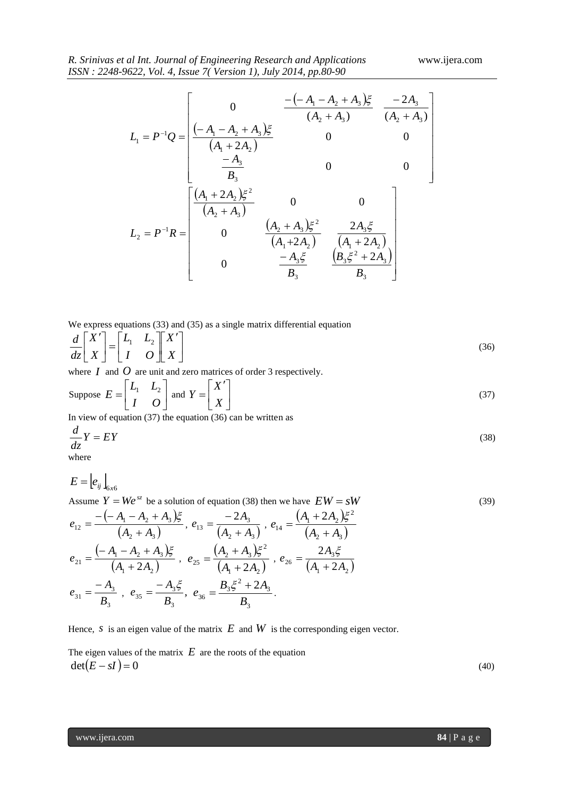$$
L_1 = P^{-1}Q = \begin{bmatrix} 0 & \frac{-(-A_1 - A_2 + A_3)\xi}{(A_2 + A_3)} & \frac{-2A_3}{(A_2 + A_3)} \\ \frac{-A_4}{(A_1 + 2A_2)} & 0 & 0 \\ \frac{-A_3}{B_3} & 0 & 0 \\ 0 & \frac{A_2 + A_3\xi^2}{(A_1 + 2A_2)} & \frac{-2A_3\xi}{(A_1 + 2A_2)} \\ 0 & \frac{-A_3\xi}{(A_1 + 2A_2)} & \frac{2A_3\xi}{(A_1 + 2A_3)} \\ 0 & \frac{-A_3\xi}{B_3} & \frac{B_3\xi^2 + 2A_3}{B_3} \end{bmatrix}
$$
  
ce express equations (33) and (35) as a single matrix differential equation  

$$
\begin{bmatrix} x \\ y \\ z \end{bmatrix} = \begin{bmatrix} 1 & 1 & 1 \\ 1 & 0 & 1 \\ 1 & 0 & 1 \\ z \end{bmatrix} \begin{bmatrix} x \\ y \\ z \end{bmatrix} = \begin{bmatrix} x \\ y \\ z \end{bmatrix} = \begin{bmatrix} x \\ y \\ z \end{bmatrix}
$$
since *I* and *O* are unit and zero matrices of order 3 respectively.  
pipose  $E = \begin{bmatrix} L_1 & L_2 & 1 \\ L_1 & L_2 & 1 \\ 1 & 0 & 1 \\ 0 & 0 & 0 \end{bmatrix}$  and  $Y = \begin{bmatrix} x \\ x \\ x \end{bmatrix}$   
view of equation (37) the equation (36) can be written as  

$$
\frac{1}{z}Y = EY
$$
  
since  

$$
I = \begin{bmatrix} -A_1 - A_2 + A_3 & 1 & 1 \\ 1 & 0 & 1 \\ 1 & 0 & 1 \end{bmatrix}
$$
,  $e_{13} = \frac{-2A_3}{(A_2 + A_3)}, e_{14} = \frac{(A_1 + 2A_2)\xi^2}{(A_2 + A_3)}$   
 $u = \frac{-(-A_1 - A_2 + A_3)\xi}{(A_2 + A_3)}, e_{15} = \frac{-2A_3}{(A_1 + 2A_2)}, e_{16} = \frac{2A_3\xi}{(A_1 + 2A_2)}$   
 $u = \frac{$ 

We express equations (33) and (35) as a single matrix differential equation

$$
\frac{d}{dz} \begin{bmatrix} X' \\ X \end{bmatrix} = \begin{bmatrix} L_1 & L_2 \\ I & O \end{bmatrix} \begin{bmatrix} X' \\ X \end{bmatrix}
$$
\n(36)

where  $I$  and  $O$  are unit and zero matrices of order 3 respectively.

Suppose 
$$
E = \begin{bmatrix} L_1 & L_2 \\ I & O \end{bmatrix}
$$
 and  $Y = \begin{bmatrix} X' \\ X \end{bmatrix}$  (37)  
In view of equation (37) the equation (36) can be written as

In view of equation (37) the equation (36) can be written as

$$
\frac{d}{dz}Y = EY\tag{38}
$$

where

$$
E = \left| e_{ij} \right|_{6x6}
$$
  
Assume  $Y = We^{sz}$  be a solution of equation (38) then we have  $EW = sW$  (39)

$$
e_{12} = \frac{-(-A_1 - A_2 + A_3)\xi}{(A_2 + A_3)}, e_{13} = \frac{-2A_3}{(A_2 + A_3)}, e_{14} = \frac{(A_1 + 2A_2)\xi^2}{(A_2 + A_3)}
$$
  
\n
$$
e_{21} = \frac{(-A_1 - A_2 + A_3)\xi}{(A_1 + 2A_2)}, e_{25} = \frac{(A_2 + A_3)\xi^2}{(A_1 + 2A_2)}, e_{26} = \frac{2A_3\xi}{(A_1 + 2A_2)}
$$
  
\n
$$
e_{31} = \frac{-A_3}{B_3}, e_{35} = \frac{-A_3\xi}{B_3}, e_{36} = \frac{B_3\xi^2 + 2A_3}{B_3}.
$$

Hence, *s* is an eigen value of the matrix  $E$  and  $W$  is the corresponding eigen vector.

The eigen values of the matrix  $E$  are the roots of the equation  $det(E - sI) = 0$  (40)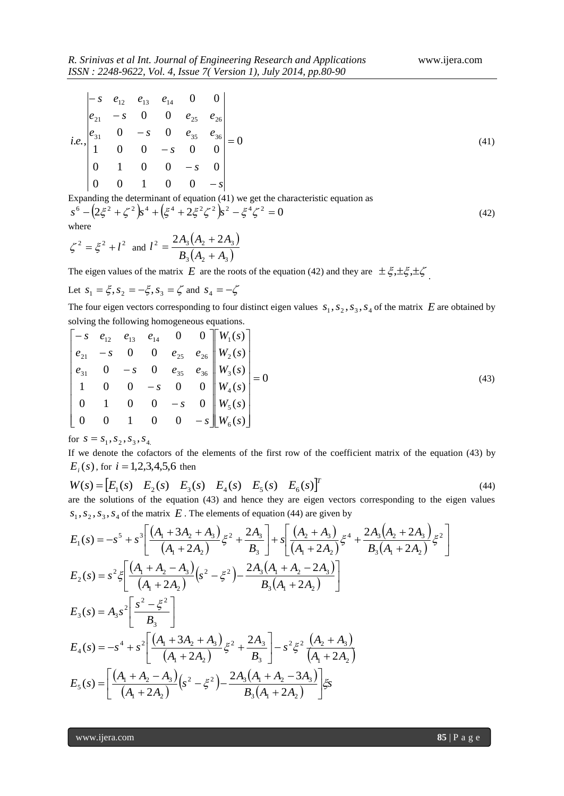|                 | $ -s \t e_{12} \t e_{13} \t e_{14} \t 0 \t 0 $                                                                    |             |         |  |
|-----------------|-------------------------------------------------------------------------------------------------------------------|-------------|---------|--|
|                 | $\begin{vmatrix} e_{21} & -s & 0 & 0 & e_{25} & e_{26} \end{vmatrix}$                                             |             |         |  |
|                 | <i>i.e.</i> , $\begin{vmatrix} e_{31} & 0 & -s & 0 & e_{35} & e_{36} \\ 1 & 0 & 0 & -s & 0 & 0 \end{vmatrix} = 0$ |             |         |  |
|                 |                                                                                                                   |             |         |  |
| $\vert 0 \vert$ | $\begin{bmatrix} 1 & 0 & 0 & -s & 0 \end{bmatrix}$                                                                |             |         |  |
| $\mid 0 \mid$   | $\overline{0}$                                                                                                    | $1 \quad 0$ | $0 - s$ |  |

Expanding the determinant of equation (41) we get the characteristic equation as

$$
s^{6} - (2\xi^{2} + \zeta^{2})s^{4} + (\xi^{4} + 2\xi^{2}\zeta^{2})s^{2} - \xi^{4}\zeta^{2} = 0
$$
\nwhere\n
$$
s^{2} - \zeta^{2} + \zeta^{2} = 2A_{3}(A_{2} + 2A_{3})
$$
\n(42)

$$
\zeta^2 = \xi^2 + l^2
$$
 and  $l^2 = \frac{2A_3(A_2 + 2A_3)}{B_3(A_2 + A_3)}$ 

The eigen values of the matrix E are the roots of the equation (42) and they are  $\pm \xi, \pm \xi, \pm \zeta$ .

Let 
$$
s_1 = \xi
$$
,  $s_2 = -\xi$ ,  $s_3 = \zeta$  and  $s_4 = -\zeta$ 

The four eigen vectors corresponding to four distinct eigen values  $s_1, s_2, s_3, s_4$  of the matrix  $E$  are obtained by solving the following homogeneous equations.

$$
\begin{bmatrix}\n-s & e_{12} & e_{13} & e_{14} & 0 & 0 \\
e_{21} & -s & 0 & 0 & e_{25} & e_{26} \\
e_{31} & 0 & -s & 0 & e_{35} & e_{36} \\
1 & 0 & 0 & -s & 0 & 0 \\
0 & 1 & 0 & 0 & -s & 0 \\
0 & 0 & 1 & 0 & 0 & -s\n\end{bmatrix}\n\begin{bmatrix}\nW_1(s) \\
W_2(s) \\
W_3(s) \\
W_4(s) \\
W_5(s) \\
W_5(s)\n\end{bmatrix} = 0
$$
\n(43)

for  $s = s_1, s_2, s_3, s_4$ 

If we denote the cofactors of the elements of the first row of the coefficient matrix of the equation (43) by  $E_i(s)$ , for  $i = 1,2,3,4,5,6$  then

$$
W(s) = \begin{bmatrix} E_1(s) & E_2(s) & E_3(s) & E_4(s) & E_5(s) & E_6(s) \end{bmatrix}^T \tag{44}
$$

are the solutions of the equation (43) and hence they are eigen vectors corresponding to the eigen values  $s_1, s_2, s_3, s_4$  of the matrix  $E$ . The elements of equation (44) are given by

$$
E_{1}(s) = -s^{5} + s^{3} \left[ \frac{(A_{1} + 3A_{2} + A_{3})}{(A_{1} + 2A_{2})} \xi^{2} + \frac{2A_{3}}{B_{3}} \right] + s \left[ \frac{(A_{2} + A_{3})}{(A_{1} + 2A_{2})} \xi^{4} + \frac{2A_{3}(A_{2} + 2A_{3})}{B_{3}(A_{1} + 2A_{2})} \xi^{2} \right]
$$
  
\n
$$
E_{2}(s) = s^{2} \xi \left[ \frac{(A_{1} + A_{2} - A_{3})}{(A_{1} + 2A_{2})} \left(s^{2} - \xi^{2}\right) - \frac{2A_{3}(A_{1} + A_{2} - 2A_{3})}{B_{3}(A_{1} + 2A_{2})} \right]
$$
  
\n
$$
E_{3}(s) = A_{3} s^{2} \left[ \frac{s^{2} - \xi^{2}}{B_{3}} \right]
$$
  
\n
$$
E_{4}(s) = -s^{4} + s^{2} \left[ \frac{(A_{1} + 3A_{2} + A_{3})}{(A_{1} + 2A_{2})} \xi^{2} + \frac{2A_{3}}{B_{3}} \right] - s^{2} \xi^{2} \left( \frac{A_{2} + A_{3}}{A_{1} + 2A_{2}} \right)
$$
  
\n
$$
E_{5}(s) = \left[ \frac{(A_{1} + A_{2} - A_{3})}{(A_{1} + 2A_{2})} \left(s^{2} - \xi^{2}\right) - \frac{2A_{3}(A_{1} + A_{2} - 3A_{3})}{B_{3}(A_{1} + 2A_{2})} \right] \xi_{S}
$$

www.ijera.com **85** | P a g e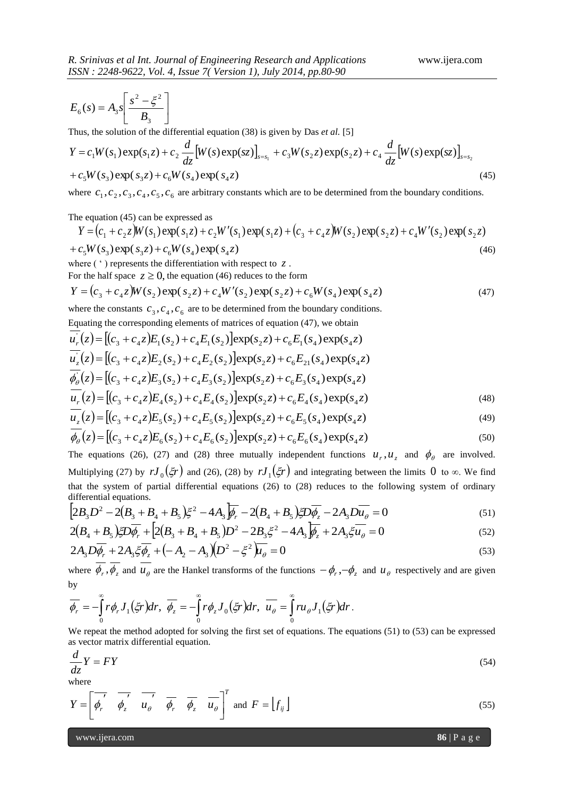$$
E_6(s) = A_3 s \left[ \frac{s^2 - \xi^2}{B_3} \right]
$$

Thus, the solution of the differential equation (38) is given by Das *et al.* [5]

$$
Y = c_1 W(s_1) \exp(s_1 z) + c_2 \frac{d}{dz} [W(s) \exp(sz)]_{s=s_1} + c_3 W(s_2 z) \exp(s_2 z) + c_4 \frac{d}{dz} [W(s) \exp(sz)]_{s=s_2}
$$
  
+  $c_5 W(s_3) \exp(s_3 z) + c_6 W(s_4) \exp(s_4 z)$  (45)

where  $c_1$ ,  $c_2$ ,  $c_3$ ,  $c_4$ ,  $c_5$ ,  $c_6$  are arbitrary constants which are to be determined from the boundary conditions.

The equation (45) can be expressed as

$$
Y = (c_1 + c_2 z)W(s_1) \exp(s_1 z) + c_2 W'(s_1) \exp(s_1 z) + (c_3 + c_4 z)W(s_2) \exp(s_2 z) + c_4 W'(s_2) \exp(s_2 z)
$$
  
+  $c_5 W(s_3) \exp(s_3 z) + c_6 W(s_4) \exp(s_4 z)$  (46)

where ( ' ) represents the differentiation with respect to *z* .

For the half space  $z \ge 0$ , the equation (46) reduces to the form

$$
Y = (c_3 + c_4 z)W(s_2) \exp(s_2 z) + c_4 W'(s_2) \exp(s_2 z) + c_6 W(s_4) \exp(s_4 z)
$$
\n(47)

where the constants  $c_3$ ,  $c_4$ ,  $c_6$  are to be determined from the boundary conditions.

Equating the corresponding elements of matrices of equation (47), we obtain

$$
u_r(z) = [(c_3 + c_4 z)E_1(s_2) + c_4 E_1(s_2)]exp(s_2 z) + c_6 E_1(s_4)exp(s_4 z)
$$
  
\n
$$
u_z(z) = [(c_3 + c_4 z)E_2(s_2) + c_4 E_2(s_2)]exp(s_2 z) + c_6 E_{21}(s_4)exp(s_4 z)
$$
  
\n
$$
\phi_0(z) = [(c_3 + c_4 z)E_3(s_2) + c_4 E_3(s_2)]exp(s_2 z) + c_6 E_3(s_4)exp(s_4 z)
$$
  
\n
$$
u_r(z) = [(c_3 + c_4 z)E_4(s_2) + c_4 E_4(s_2)]exp(s_2 z) + c_6 E_4(s_4)exp(s_4 z)
$$
\n(48)

$$
u_z(z) = [(c_3 + c_4 z)E_5(s_2) + c_4 E_5(s_2)]exp(s_2 z) + c_6 E_5(s_4)exp(s_4 z)
$$
\n(49)

$$
\phi_{\theta}(z) = [(c_3 + c_4 z)E_6(s_2) + c_4 E_6(s_2)] \exp(s_2 z) + c_6 E_6(s_4) \exp(s_4 z)
$$
\n(50)

The equations (26), (27) and (28) three mutually independent functions  $u_r$ ,  $u_z$  and  $\phi_\theta$  are involved. Multiplying (27) by  $rJ_0(\xi r)$  and (26), (28) by  $rJ_1(\xi r)$  and integrating between the limits 0 to  $\infty$ . We find that the system of partial differential equations (26) to (28) reduces to the following system of ordinary differential equations.

$$
\left[2B_3D^2 - 2(B_3 + B_4 + B_5)\xi^2 - 4A_3\overline{\psi_r} - 2(B_4 + B_5)\xi D\overline{\psi_s} - 2A_3D\overline{u_\theta} = 0\right]
$$
\n(51)

$$
2(B_4 + B_5)\xi D\overline{\phi_r} + [2(B_3 + B_4 + B_5)D^2 - 2B_3\xi^2 - 4A_3\overline{\phi_z} + 2A_3\xi\overline{u_\theta} = 0 \tag{52}
$$

$$
2A_3 D \overline{\phi_r} + 2A_3 \overline{\xi} \overline{\phi_z} + (-A_2 - A_3)(D^2 - \xi^2) \overline{\mu_\theta} = 0
$$
\n(53)

where  $\phi_r$ ,  $\phi_z$  and  $u_\theta$  are the Hankel transforms of the functions  $-\phi_r$ ,  $-\phi_z$  and  $u_\theta$  respectively and are given by

$$
\overline{\phi_r} = -\int_0^{\infty} r \phi_r J_1(\xi r) dr, \overline{\phi_z} = -\int_0^{\infty} r \phi_z J_0(\xi r) dr, \overline{u_{\theta}} = \int_0^{\infty} r u_{\theta} J_1(\xi r) dr.
$$

We repeat the method adopted for solving the first set of equations. The equations (51) to (53) can be expressed as vector matrix differential equation.

$$
\frac{d}{dz}Y = FY \tag{54}
$$

where

$$
Y = \begin{bmatrix} \overrightarrow{\phi_r} & \overrightarrow{\phi_z} & \overrightarrow{u_{\theta}} & \overrightarrow{\phi_r} & \overrightarrow{\phi_z} & \overrightarrow{u_{\theta}} \end{bmatrix}^T \text{ and } F = \begin{bmatrix} f_{ij} \end{bmatrix}
$$
 (55)

www.ijera.com **86** | P a g e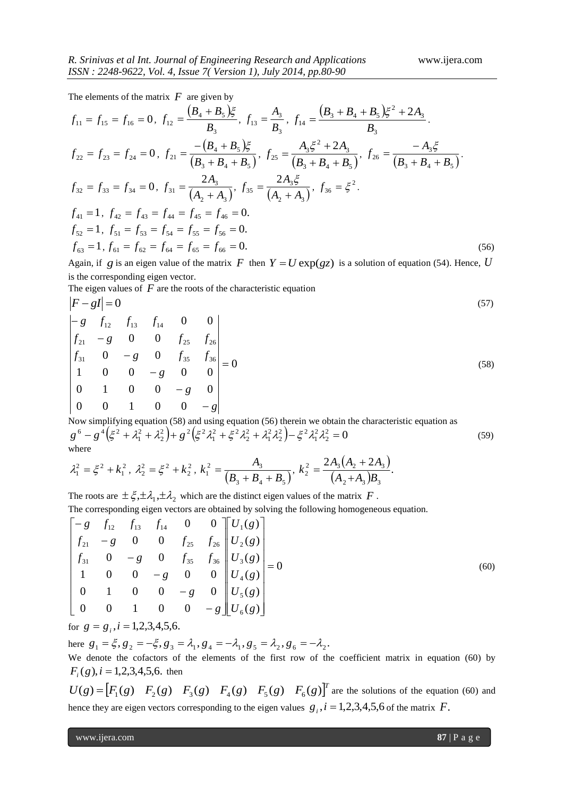The elements of the matrix  $F$  are given by

$$
f_{11} = f_{15} = f_{16} = 0, f_{12} = \frac{(B_4 + B_5)\xi}{B_3}, f_{13} = \frac{A_3}{B_3}, f_{14} = \frac{(B_3 + B_4 + B_5)\xi^2 + 2A_3}{B_3}.
$$
  
\n
$$
f_{22} = f_{23} = f_{24} = 0, f_{21} = \frac{-(B_4 + B_5)\xi}{(B_3 + B_4 + B_5)}, f_{25} = \frac{A_3\xi^2 + 2A_3}{(B_3 + B_4 + B_5)}, f_{26} = \frac{-A_3\xi}{(B_3 + B_4 + B_5)}.
$$
  
\n
$$
f_{32} = f_{33} = f_{34} = 0, f_{31} = \frac{2A_3}{(A_2 + A_3)}, f_{35} = \frac{2A_3\xi}{(A_2 + A_3)}, f_{36} = \xi^2.
$$
  
\n
$$
f_{41} = 1, f_{42} = f_{43} = f_{44} = f_{45} = f_{46} = 0.
$$
  
\n
$$
f_{52} = 1, f_{51} = f_{53} = f_{54} = f_{55} = f_{56} = 0.
$$
  
\n
$$
f_{63} = 1, f_{61} = f_{62} = f_{64} = f_{65} = f_{66} = 0.
$$
  
\n(56)

Again, if g is an eigen value of the matrix F then  $Y = U \exp(gz)$  is a solution of equation (54). Hence, U is the corresponding eigen vector.

The eigen values of  $F$  are the roots of the characteristic equation

$$
\begin{vmatrix} F - gI &= 0 & & \\ -g & f_{12} & f_{13} & f_{14} & 0 & 0 \\ f_{21} &= g & 0 & 0 & f_{25} & f_{26} \\ f_{31} &= 0 & = g & 0 & f_{35} & f_{36} \\ 1 &= 0 & 0 & = g & 0 & 0 \\ 0 &= 1 & 0 & 0 & = g & 0 \\ 0 &= 0 & 0 & 0 & 0 & 0 \\ 0 &= 0 & 0 & 0 & 0 & 0 \\ 0 &= 0 & 0 & 0 & 0 & 0 \\ 0 &= 0 & 0 & 0 & 0 & 0 \\ 0 &= 0 & 0 & 0 & 0 & 0 \\ 0 &= 0 & 0 & 0 & 0 & 0 \\ 0 &= 0 & 0 & 0 & 0 & 0 \\ 0 &= 0 & 0 & 0 & 0 & 0 \\ 0 &= 0 & 0 & 0 & 0 & 0 \\ 0 &= 0 & 0 & 0 & 0 & 0 \\ 0 &= 0 & 0 & 0 & 0 & 0 \\ 0 &= 0 & 0 & 0 & 0 & 0 \\ 0 &= 0 & 0 & 0 & 0 & 0 \\ 0 &= 0 & 0 & 0 & 0 & 0 \\ 0 &= 0 & 0 & 0 & 0 & 0 \\ 0 &= 0 & 0 & 0 & 0 & 0 \\ 0 &= 0 & 0 & 0 & 0 & 0 \\ 0 &= 0 & 0 & 0 & 0 & 0 \\ 0 &= 0 & 0 & 0 & 0 & 0 \\ 0 &= 0 & 0 &
$$

Now simplifying equation (58) and using equation (56) therein we obtain the characteristic equation as  $(\xi^2+\lambda_1^2+\lambda_2^2)+g^2(\xi^2\lambda_1^2+\xi^2\lambda_2^2+\lambda_1^2\lambda_2^2)-\xi^2\lambda_1^2\lambda_2^2=0$ 2 2 1 2)  $\epsilon^2$ 2 2 1 2 2 2,  $\epsilon^2$ 1 2),  $2$   $\epsilon$  2 2 2 1  $g^6 - g^4(\xi^2 + \lambda_1^2 + \lambda_2^2) + g^2(\xi^2 \lambda_1^2 + \xi^2 \lambda_2^2 + \lambda_1^2 \lambda_2^2) - \xi^2 \lambda_1^2 \lambda_2^2 = 0$  (59) where

$$
\lambda_1^2 = \xi^2 + k_1^2, \ \lambda_2^2 = \xi^2 + k_2^2, \ k_1^2 = \frac{A_3}{\left(B_3 + B_4 + B_5\right)}, \ k_2^2 = \frac{2A_3\left(A_2 + 2A_3\right)}{\left(A_2 + A_3\right)B_3}.
$$

The roots are  $\pm \xi, \pm \lambda_1, \pm \lambda_2$  which are the distinct eigen values of the matrix F.

The corresponding eigen vectors are obtained by solving the following homogeneous equation.

$$
\begin{bmatrix}\n-g & f_{12} & f_{13} & f_{14} & 0 & 0 \\
f_{21} & -g & 0 & 0 & f_{25} & f_{26} \\
f_{31} & 0 & -g & 0 & f_{35} & f_{36} \\
1 & 0 & 0 & -g & 0 & 0 \\
0 & 1 & 0 & 0 & -g & 0 \\
0 & 0 & 1 & 0 & 0 & -g\n\end{bmatrix}\n\begin{bmatrix}\nU_1(g) \\
U_2(g) \\
U_3(g) \\
U_4(g) \\
U_5(g) \\
U_5(g)\n\end{bmatrix} = 0
$$
\n(60)

for  $g = g_i$ ,  $i = 1,2,3,4,5,6$ .

here  $g_1 = \xi, g_2 = -\xi, g_3 = \lambda_1, g_4 = -\lambda_1, g_5 = \lambda_2, g_6 = -\lambda_2$ .

We denote the cofactors of the elements of the first row of the coefficient matrix in equation (60) by  $F_i(g)$ ,  $i = 1,2,3,4,5,6$ . then

 $U(g) = [F_1(g) \quad F_2(g) \quad F_3(g) \quad F_4(g) \quad F_5(g) \quad F_6(g)]^T$  are the solutions of the equation (60) and hence they are eigen vectors corresponding to the eigen values  $g_i$ ,  $i = 1,2,3,4,5,6$  of the matrix  $F$ .

www.ijera.com **87** | P a g e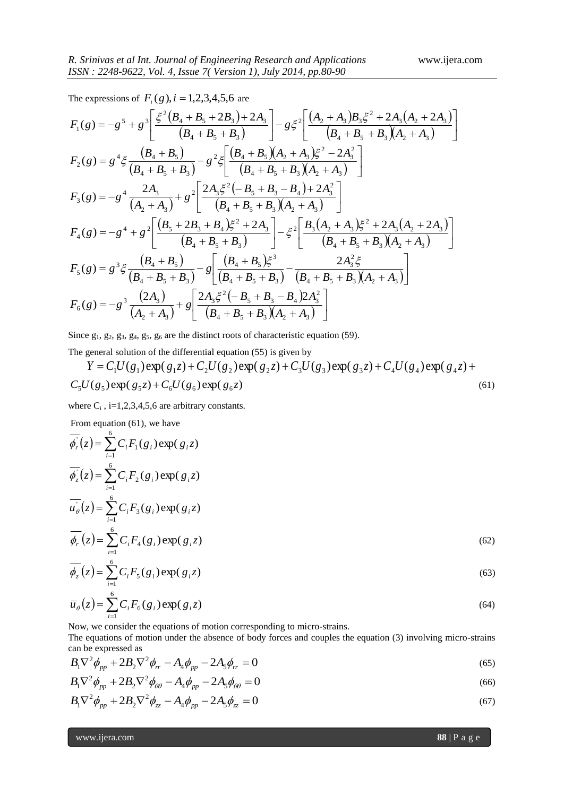The expressions of  $F_i(g)$ ,  $i = 1,2,3,4,5,6$  are

$$
F_{1}(g) = -g^{5} + g^{3} \left[ \frac{\xi^{2}(B_{4} + B_{5} + 2B_{3}) + 2A_{3}}{(B_{4} + B_{5} + B_{3})} \right] - g\xi^{2} \left[ \frac{(A_{2} + A_{3})B_{3}\xi^{2} + 2A_{3}(A_{2} + 2A_{3})}{(B_{4} + B_{5} + B_{3})(A_{2} + A_{3})} \right]
$$
  
\n
$$
F_{2}(g) = g^{4}\xi \frac{(B_{4} + B_{5})}{(B_{4} + B_{5} + B_{3})} - g^{2}\xi \left[ \frac{(B_{4} + B_{5})(A_{2} + A_{3})\xi^{2} - 2A_{3}^{2}}{(B_{4} + B_{5} + B_{3})(A_{2} + A_{3})} \right]
$$
  
\n
$$
F_{3}(g) = -g^{4} \frac{2A_{3}}{(A_{2} + A_{3})} + g^{2} \left[ \frac{2A_{3}\xi^{2}(-B_{5} + B_{3} - B_{4}) + 2A_{3}^{2}}{(B_{4} + B_{5} + B_{3})(A_{2} + A_{3})} \right]
$$
  
\n
$$
F_{4}(g) = -g^{4} + g^{2} \left[ \frac{(B_{5} + 2B_{3} + B_{4})\xi^{2} + 2A_{3}}{(B_{4} + B_{5} + B_{3})} \right] - \xi^{2} \left[ \frac{B_{3}(A_{2} + A_{3})\xi^{2} + 2A_{3}(A_{2} + 2A_{3})}{(B_{4} + B_{5} + B_{3})(A_{2} + A_{3})} \right]
$$
  
\n
$$
F_{5}(g) = g^{3}\xi \frac{(B_{4} + B_{5})}{(B_{4} + B_{5} + B_{3})} - g \left[ \frac{(B_{4} + B_{5})\xi^{3}}{(B_{4} + B_{5} + B_{3})} - \frac{2A_{3}^{2}\xi}{(B_{4} + B_{5} + B_{3})(A_{2} + A_{3})} \right]
$$
  
\n
$$
F_{6}(g) = -g^{3} \frac{(2A_{3})}{(A_{2} + A_{3})} + g \left[ \frac{2A_{3}\xi^{2}(-B_{5} + B_{3} - B_{4})2A_{3}^{2}}
$$

Since  $g_1, g_2, g_3, g_4, g_5, g_6$  are the distinct roots of characteristic equation (59).

The general solution of the differential equation (55) is given by

$$
Y = C_1 U(g_1) \exp(g_1 z) + C_2 U(g_2) \exp(g_2 z) + C_3 U(g_3) \exp(g_3 z) + C_4 U(g_4) \exp(g_4 z) + C_5 U(g_5) \exp(g_5 z) + C_6 U(g_6) \exp(g_6 z)
$$
\n(61)

where  $C_i$ , i=1,2,3,4,5,6 are arbitrary constants.

From equation (61), we have

$$
\overline{\phi_r^{\cdot}}(z) = \sum_{i=1}^{6} C_i F_1(g_i) \exp(g_i z)
$$
\n
$$
\overline{\phi_z^{\cdot}}(z) = \sum_{i=1}^{6} C_i F_2(g_i) \exp(g_i z)
$$
\n
$$
\overline{\psi_\theta}(z) = \sum_{i=1}^{6} C_i F_3(g_i) \exp(g_i z)
$$
\n
$$
\overline{\phi_r}(z) = \sum_{i=1}^{6} C_i F_4(g_i) \exp(g_i z)
$$
\n(62)

$$
\overline{\phi_z}(z) = \sum_{i=1}^{6} C_i F_5(g_i) \exp(g_i z)
$$
\n(63)

$$
\overline{u}_{\theta}(z) = \sum_{i=1}^{6} C_i F_6(g_i) \exp(g_i z)
$$
\nNow, we consider the equations of motion corresponding to micro-strains.

\n
$$
(64)
$$

The equations of motion under the absence of body forces and couples the equation (3) involving micro-strains can be expressed as

$$
B_1 \nabla^2 \phi_{pp} + 2B_2 \nabla^2 \phi_{rr} - A_4 \phi_{pp} - 2A_5 \phi_{rr} = 0
$$
\n(65)

$$
B_1 \nabla^2 \phi_{pp} + 2B_2 \nabla^2 \phi_{\theta\theta} - A_4 \phi_{pp} - 2A_5 \phi_{\theta\theta} = 0
$$
\n
$$
\tag{66}
$$

$$
B_1 \nabla^2 \phi_{pp} + 2B_2 \nabla^2 \phi_{zz} - A_4 \phi_{pp} - 2A_5 \phi_{zz} = 0
$$
\n(67)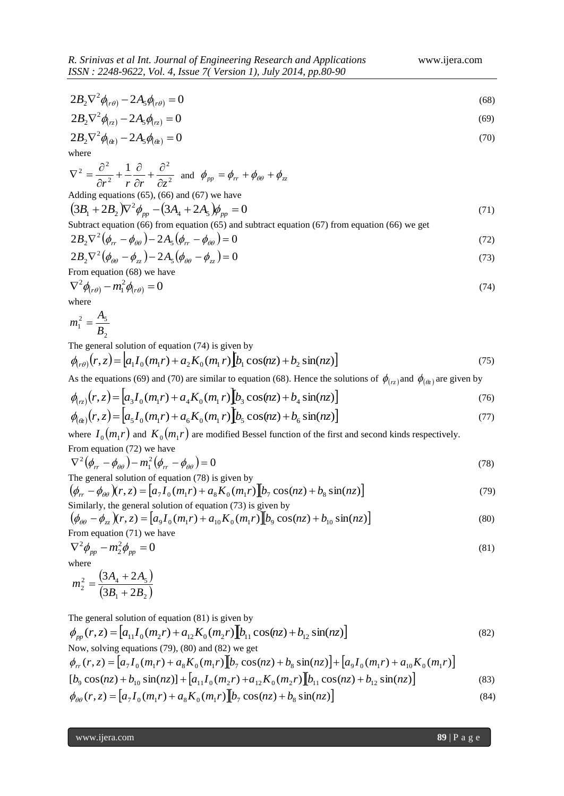$$
2B_2\nabla^2\phi_{(r\theta)} - 2A_5\phi_{(r\theta)} = 0\tag{68}
$$

$$
2B_2 \nabla^2 \phi_{(rz)} - 2A_5 \phi_{(rz)} = 0 \tag{69}
$$

$$
2B_2 \nabla^2 \phi_{(\alpha)} - 2A_5 \phi_{(\alpha)} = 0 \tag{70}
$$

where

$$
\nabla^2 = \frac{\partial^2}{\partial r^2} + \frac{1}{r} \frac{\partial}{\partial r} + \frac{\partial^2}{\partial z^2}
$$
 and  $\phi_{pp} = \phi_{rr} + \phi_{\theta\theta} + \phi_{zz}$   
Adding equations (65), (66) and (67) we have  

$$
(3B_1 + 2B_2)\nabla^2 \phi_{pp} - (3A_4 + 2A_5)\phi_{pp} = 0
$$
 (71)

Subtract equation (66) from equation (65) and subtract equation (67) from equation (66) we get\n
$$
y = f(x)
$$

$$
2B_2 \nabla^2 (\phi_{rr} - \phi_{\theta\theta}) - 2A_5 (\phi_{rr} - \phi_{\theta\theta}) = 0
$$
\n(72)

$$
2B_2 \nabla^2 (\phi_{\theta\theta} - \phi_{zz}) - 2A_5 (\phi_{\theta\theta} - \phi_{zz}) = 0
$$
\n<sup>(73)</sup>

From equation (68) we have

$$
\nabla^2 \phi_{(r\theta)} - m_1^2 \phi_{(r\theta)} = 0 \tag{74}
$$

where

$$
m_1^2 = \frac{A_5}{B_2}
$$

The general solution of equation (74) is given by

$$
\phi_{(r\theta)}(r,z) = [a_1 I_0(m_1 r) + a_2 K_0(m_1 r)]b_1 \cos(nz) + b_2 \sin(nz)]
$$
\n(75)

As the equations (69) and (70) are similar to equation (68). Hence the solutions of  $\phi_{(rz)}$  and  $\phi_{(\phi_z)}$  are given by

$$
\phi_{(rz)}(r,z) = [a_3 I_0(m_1 r) + a_4 K_0(m_1 r)] [b_3 \cos(nz) + b_4 \sin(nz)] \tag{76}
$$

$$
\phi_{(\alpha)}(r,z) = \left[a_5 I_0(m_1 r) + a_6 K_0(m_1 r)\right] b_5 \cos(nz) + b_6 \sin(nz)\right]
$$
\n(77)

where  $I_0(m_1r)$  and  $K_0(m_1r)$  are modified Bessel function of the first and second kinds respectively. From equation (72) we have

$$
\nabla^2 (\phi_{rr} - \phi_{\theta\theta}) - m_1^2 (\phi_{rr} - \phi_{\theta\theta}) = 0
$$
  
The general solution of equation (78) is given by

$$
(\phi_{rr} - \phi_{\theta\theta})(r, z) = [a_7 I_0(m_1 r) + a_8 K_0(m_1 r)] [b_7 \cos(nz) + b_8 \sin(nz)]
$$
\nSimilarly, the general solution of equation (73) is given by

$$
\left(\phi_{\theta\theta} - \phi_{zz}\right)(r, z) = \left[a_9 I_0(m_1 r) + a_{10} K_0(m_1 r)\right] \left[b_9 \cos(nz) + b_{10} \sin(nz)\right]
$$
\nFrom equation (71) we have

\n
$$
\left[\frac{1}{2}(3a_1 r) + \frac{1}{2}(3a_2 r) + \frac{1}{2}(3a_3 r) + \frac{1}{2}(3a_4 r) + \frac{1}{2}(3a_5 r) + \frac{1}{2}(3a_6 r) + \frac{1}{2}(3a_6 r) + \frac{1}{2}(3a_6 r) + \frac{1}{2}(3a_6 r) + \frac{1}{2}(3a_6 r) + \frac{1}{2}(3a_6 r) + \frac{1}{2}(3a_6 r) + \frac{1}{2}(3a_6 r) + \frac{1}{2}(3a_6 r) + \frac{1}{2}(3a_6 r) + \frac{1}{2}(3a_6 r) + \frac{1}{2}(3a_6 r) + \frac{1}{2}(3a_6 r) + \frac{1}{2}(3a_6 r) + \frac{1}{2}(3a_6 r) + \frac{1}{2}(3a_6 r) + \frac{1}{2}(3a_6 r) + \frac{1}{2}(3a_6 r) + \frac{1}{2}(3a_6 r) + \frac{1}{2}(3a_6 r) + \frac{1}{2}(3a_6 r) + \frac{1}{2}(3a_6 r) + \frac{1}{2}(3a_6 r) + \frac{1}{2}(3a_6 r) + \frac{1}{2}(3a_6 r) + \frac{1}{2}(3a_6 r) + \frac{1}{2}(3a_6 r) + \frac{1}{2}(3a_6 r) + \frac{1}{2}(3a_6 r) + \frac{1}{2}(3a_6 r) + \frac{1}{2}(3a_6 r) + \frac{1}{2}(3a_6 r) + \frac{1}{2}(3a_6 r) + \frac{1}{2}(3a_6 r) + \frac{1}{2}(3a_6 r) + \frac{1}{2}(3a_6 r) + \frac{1}{2}(3a_6 r) + \frac{1}{2}(3a_6 r) + \frac{1}{2}(3a_6 r) + \frac{1}{2}(3a_6 r) + \frac{1}{2}(3a_6 r) + \frac{1}{2}(3a_6 r) + \frac{
$$

$$
\nabla^2 \phi_{pp} - m_2^2 \phi_{pp} = 0 \tag{81}
$$

where

$$
m_2^2 = \frac{(3A_4 + 2A_5)}{(3B_1 + 2B_2)}
$$

The general solution of equation (81) is given by

$$
\phi_{pp}(r,z) = [a_{11}I_0(m_2r) + a_{12}K_0(m_2r)][b_{11}\cos(nz) + b_{12}\sin(nz)]
$$
\n(82)  
\nNow, solving equations (79), (80) and (82) we get  
\n
$$
\phi_{rr}(r,z) = [a_7I_0(m_1r) + a_8K_0(m_1r)][b_7\cos(nz) + b_8\sin(nz)] + [a_9I_0(m_1r) + a_{10}K_0(m_1r)]
$$
\n
$$
[b_9\cos(nz) + b_{10}\sin(nz)] + [a_{11}I_0(m_2r) + a_{12}K_0(m_2r)][b_{11}\cos(nz) + b_{12}\sin(nz)]
$$
\n(83)  
\n
$$
\phi_{\theta\theta}(r,z) = [a_7I_0(m_1r) + a_8K_0(m_1r)][b_7\cos(nz) + b_8\sin(nz)]
$$
\n(84)

www.ijera.com **89** | P a g e